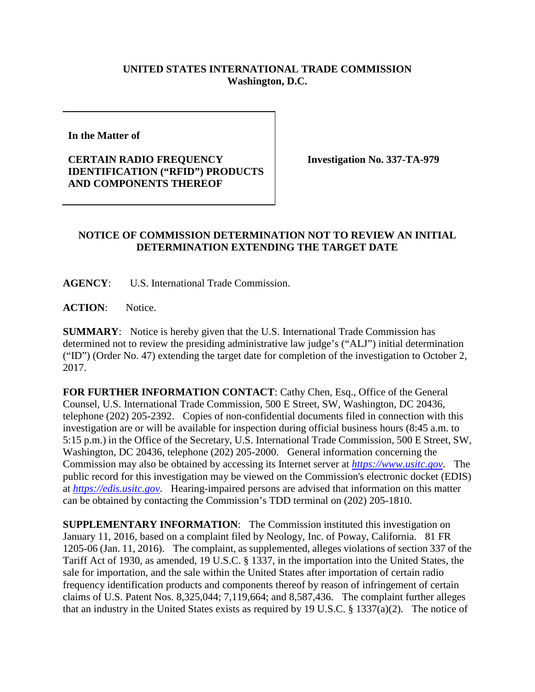## **UNITED STATES INTERNATIONAL TRADE COMMISSION Washington, D.C.**

**In the Matter of** 

## **CERTAIN RADIO FREQUENCY IDENTIFICATION ("RFID") PRODUCTS AND COMPONENTS THEREOF**

**Investigation No. 337-TA-979**

## **NOTICE OF COMMISSION DETERMINATION NOT TO REVIEW AN INITIAL DETERMINATION EXTENDING THE TARGET DATE**

**AGENCY**: U.S. International Trade Commission.

ACTION: Notice.

**SUMMARY**: Notice is hereby given that the U.S. International Trade Commission has determined not to review the presiding administrative law judge's ("ALJ") initial determination ("ID") (Order No. 47) extending the target date for completion of the investigation to October 2, 2017.

**FOR FURTHER INFORMATION CONTACT**: Cathy Chen, Esq., Office of the General Counsel, U.S. International Trade Commission, 500 E Street, SW, Washington, DC 20436, telephone (202) 205-2392. Copies of non-confidential documents filed in connection with this investigation are or will be available for inspection during official business hours (8:45 a.m. to 5:15 p.m.) in the Office of the Secretary, U.S. International Trade Commission, 500 E Street, SW, Washington, DC 20436, telephone (202) 205-2000. General information concerning the Commission may also be obtained by accessing its Internet server at *[https://www.usitc.gov](https://www.usitc.gov/)*. The public record for this investigation may be viewed on the Commission's electronic docket (EDIS) at *[https://edis.usitc.gov](https://edis.usitc.gov/)*. Hearing-impaired persons are advised that information on this matter can be obtained by contacting the Commission's TDD terminal on (202) 205-1810.

**SUPPLEMENTARY INFORMATION**: The Commission instituted this investigation on January 11, 2016, based on a complaint filed by Neology, Inc. of Poway, California. 81 FR 1205-06 (Jan. 11, 2016). The complaint, as supplemented, alleges violations of section 337 of the Tariff Act of 1930, as amended, 19 U.S.C. § 1337, in the importation into the United States, the sale for importation, and the sale within the United States after importation of certain radio frequency identification products and components thereof by reason of infringement of certain claims of U.S. Patent Nos. 8,325,044; 7,119,664; and 8,587,436. The complaint further alleges that an industry in the United States exists as required by 19 U.S.C. § 1337(a)(2). The notice of